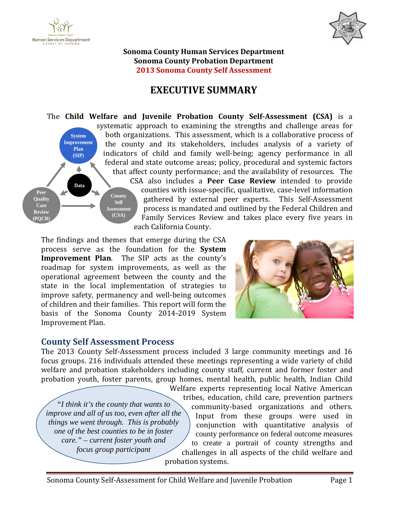



**Sonoma County Human Services Department Sonoma County Probation Department 2013 Sonoma County Self Assessment**

# **EXECUTIVE SUMMARY**

The **Child Welfare and Juvenile Probation County Self-Assessment (CSA)** is a systematic approach to examining the strengths and challenge areas for both organizations. This assessment, which is a collaborative process of **System Improvement** the county and its stakeholders, includes analysis of a variety of **Plan** indicators of child and family well-being; agency performance in all **(SIP)** federal and state outcome areas; policy, procedural and systemic factors Δ that affect county performance; and the availability of resources. The CSA also includes a **Peer Case Review** intended to provide **Data** counties with issue-specific, qualitative, case-level information **Peer County Quality** gathered by external peer experts. This Self-Assessment **Self Case** process is mandated and outlined by the Federal Children and **Assessment Review (CSA)** Family Services Review and takes place every five years in **(PQCR)** each California County.

The findings and themes that emerge during the CSA process serve as the foundation for the **System Improvement Plan**. The SIP acts as the county's roadmap for system improvements, as well as the operational agreement between the county and the state in the local implementation of strategies to improve safety, permanency and well-being outcomes of children and their families. This report will form the basis of the Sonoma County 2014-2019 System Improvement Plan.



### **county Self Assessment Process**

The 2013 County Self-Assessment process included 3 large community meetings and 16 welfare and probation stakeholders including county staff, current and former foster and focus groups. 216 individuals attended these meetings representing a wide variety of child probation youth, foster parents, group homes, mental health, public health, Indian Child

*"I think it's the county that wants to improve and all of us too, even after all the things we went through. This is probably one of the best counties to be in foster care." – current foster youth and focus group participant* 

community-based organizations and others. to create a portrait of county strengths and chal leng es in al l aspects of the child welfare and W elf ar e ex per ts r ep res enting l ocal Native American trib es , educ atio n, c hild care, prevention partners county performance on federal outcome measures Input from these groups were used in c onj u nc tio n w ith q u antitativ e analysis of probation s ys tem s.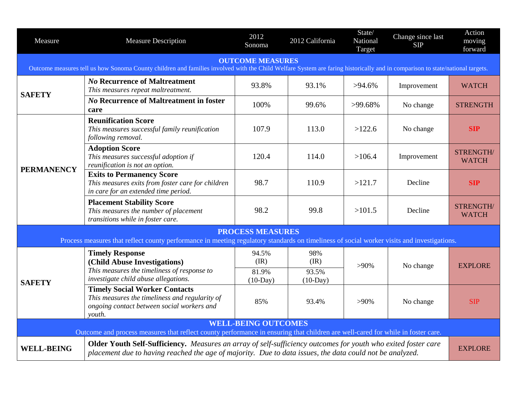| Measure                                                                                                                                                                                                 | <b>Measure Description</b>                                                                                                                                                                                                | 2012<br>Sonoma      | 2012 California     | State/<br>National<br>Target | Change since last<br><b>SIP</b> | Action<br>moving<br>forward |  |  |  |
|---------------------------------------------------------------------------------------------------------------------------------------------------------------------------------------------------------|---------------------------------------------------------------------------------------------------------------------------------------------------------------------------------------------------------------------------|---------------------|---------------------|------------------------------|---------------------------------|-----------------------------|--|--|--|
| <b>OUTCOME MEASURES</b><br>Outcome measures tell us how Sonoma County children and families involved with the Child Welfare System are faring historically and in comparison to state/national targets. |                                                                                                                                                                                                                           |                     |                     |                              |                                 |                             |  |  |  |
| <b>SAFETY</b>                                                                                                                                                                                           | <b>No Recurrence of Maltreatment</b><br>This measures repeat maltreatment.                                                                                                                                                | 93.8%               | 93.1%               | $>94.6\%$                    | Improvement                     | <b>WATCH</b>                |  |  |  |
|                                                                                                                                                                                                         | <b>No Recurrence of Maltreatment in foster</b><br>care                                                                                                                                                                    | 100%                | 99.6%               | $>99.68\%$                   | No change                       | <b>STRENGTH</b>             |  |  |  |
| <b>PERMANENCY</b>                                                                                                                                                                                       | <b>Reunification Score</b><br>This measures successful family reunification<br>following removal.                                                                                                                         | 107.9               | 113.0               | >122.6                       | No change                       | <b>SIP</b>                  |  |  |  |
|                                                                                                                                                                                                         | <b>Adoption Score</b><br>This measures successful adoption if<br>reunification is not an option.                                                                                                                          | 120.4               | 114.0               | >106.4                       | Improvement                     | STRENGTH/<br><b>WATCH</b>   |  |  |  |
|                                                                                                                                                                                                         | <b>Exits to Permanency Score</b><br>This measures exits from foster care for children<br>in care for an extended time period.                                                                                             | 98.7                | 110.9               | >121.7                       | Decline                         | <b>SIP</b>                  |  |  |  |
|                                                                                                                                                                                                         | <b>Placement Stability Score</b><br>This measures the number of placement<br>transitions while in foster care.                                                                                                            | 98.2                | 99.8                | >101.5                       | Decline                         | STRENGTH/<br><b>WATCH</b>   |  |  |  |
| <b>PROCESS MEASURES</b><br>Process measures that reflect county performance in meeting regulatory standards on timeliness of social worker visits and investigations.                                   |                                                                                                                                                                                                                           |                     |                     |                              |                                 |                             |  |  |  |
| <b>SAFETY</b>                                                                                                                                                                                           | <b>Timely Response</b><br>(Child Abuse Investigations)                                                                                                                                                                    | 94.5%<br>(IR)       | 98%<br>(IR)         | $>90\%$                      | No change                       | <b>EXPLORE</b>              |  |  |  |
|                                                                                                                                                                                                         | This measures the timeliness of response to<br>investigate child abuse allegations.                                                                                                                                       | 81.9%<br>$(10-Day)$ | 93.5%<br>$(10-Day)$ |                              |                                 |                             |  |  |  |
|                                                                                                                                                                                                         | <b>Timely Social Worker Contacts</b><br>This measures the timeliness and regularity of<br>ongoing contact between social workers and<br>youth.                                                                            | 85%                 | 93.4%               | $>90\%$                      | No change                       | SIP                         |  |  |  |
| <b>WELL-BEING OUTCOMES</b><br>Outcome and process measures that reflect county performance in ensuring that children are well-cared for while in foster care.                                           |                                                                                                                                                                                                                           |                     |                     |                              |                                 |                             |  |  |  |
| <b>WELL-BEING</b>                                                                                                                                                                                       | Older Youth Self-Sufficiency. Measures an array of self-sufficiency outcomes for youth who exited foster care<br>placement due to having reached the age of majority. Due to data issues, the data could not be analyzed. |                     |                     |                              |                                 |                             |  |  |  |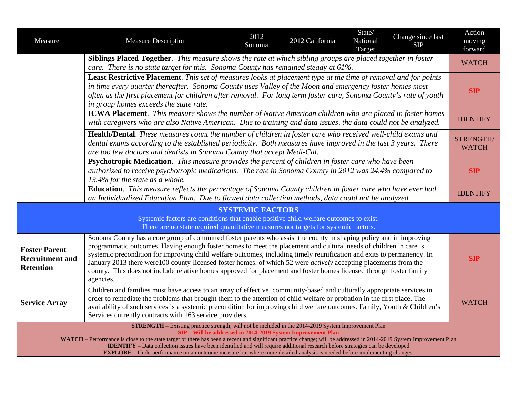| Measure                                                                                                                                                                                                                                                                                                                                                                                                                                                                                                                                                                                                                 | <b>Measure Description</b>                                                                                                                                                                                                                                                                                                                                                                                                                                                                                                                                                                                                         | 2012<br>Sonoma | 2012 California | State/<br>National<br>Target | Change since last<br><b>SIP</b> | Action<br>moving<br>forward |  |  |  |  |
|-------------------------------------------------------------------------------------------------------------------------------------------------------------------------------------------------------------------------------------------------------------------------------------------------------------------------------------------------------------------------------------------------------------------------------------------------------------------------------------------------------------------------------------------------------------------------------------------------------------------------|------------------------------------------------------------------------------------------------------------------------------------------------------------------------------------------------------------------------------------------------------------------------------------------------------------------------------------------------------------------------------------------------------------------------------------------------------------------------------------------------------------------------------------------------------------------------------------------------------------------------------------|----------------|-----------------|------------------------------|---------------------------------|-----------------------------|--|--|--|--|
|                                                                                                                                                                                                                                                                                                                                                                                                                                                                                                                                                                                                                         | Siblings Placed Together. This measure shows the rate at which sibling groups are placed together in foster<br>care. There is no state target for this. Sonoma County has remained steady at 61%.                                                                                                                                                                                                                                                                                                                                                                                                                                  |                |                 |                              |                                 |                             |  |  |  |  |
| Least Restrictive Placement. This set of measures looks at placement type at the time of removal and for points<br>in time every quarter thereafter. Sonoma County uses Valley of the Moon and emergency foster homes most<br>often as the first placement for children after removal. For long term foster care, Sonoma County's rate of youth<br>in group homes exceeds the state rate.                                                                                                                                                                                                                               |                                                                                                                                                                                                                                                                                                                                                                                                                                                                                                                                                                                                                                    |                |                 |                              |                                 |                             |  |  |  |  |
|                                                                                                                                                                                                                                                                                                                                                                                                                                                                                                                                                                                                                         | <b>ICWA Placement</b> . This measure shows the number of Native American children who are placed in foster homes<br>with caregivers who are also Native American. Due to training and data issues, the data could not be analyzed.                                                                                                                                                                                                                                                                                                                                                                                                 |                |                 |                              |                                 |                             |  |  |  |  |
|                                                                                                                                                                                                                                                                                                                                                                                                                                                                                                                                                                                                                         | Health/Dental. These measures count the number of children in foster care who received well-child exams and<br>dental exams according to the established periodicity. Both measures have improved in the last 3 years. There<br>are too few doctors and dentists in Sonoma County that accept Medi-Cal.                                                                                                                                                                                                                                                                                                                            |                |                 |                              |                                 |                             |  |  |  |  |
|                                                                                                                                                                                                                                                                                                                                                                                                                                                                                                                                                                                                                         | Psychotropic Medication. This measure provides the percent of children in foster care who have been<br>authorized to receive psychotropic medications. The rate in Sonoma County in 2012 was 24.4% compared to<br>13.4% for the state as a whole.                                                                                                                                                                                                                                                                                                                                                                                  |                |                 |                              |                                 |                             |  |  |  |  |
|                                                                                                                                                                                                                                                                                                                                                                                                                                                                                                                                                                                                                         | Education. This measure reflects the percentage of Sonoma County children in foster care who have ever had<br>an Individualized Education Plan. Due to flawed data collection methods, data could not be analyzed.                                                                                                                                                                                                                                                                                                                                                                                                                 |                |                 |                              |                                 |                             |  |  |  |  |
| <b>SYSTEMIC FACTORS</b><br>Systemic factors are conditions that enable positive child welfare outcomes to exist.<br>There are no state required quantitative measures nor targets for systemic factors.                                                                                                                                                                                                                                                                                                                                                                                                                 |                                                                                                                                                                                                                                                                                                                                                                                                                                                                                                                                                                                                                                    |                |                 |                              |                                 |                             |  |  |  |  |
| <b>Foster Parent</b><br><b>Recruitment and</b><br><b>Retention</b>                                                                                                                                                                                                                                                                                                                                                                                                                                                                                                                                                      | Sonoma County has a core group of committed foster parents who assist the county in shaping policy and in improving<br>programmatic outcomes. Having enough foster homes to meet the placement and cultural needs of children in care is<br>systemic precondition for improving child welfare outcomes, including timely reunification and exits to permanency. In<br>January 2013 there were 100 county-licensed foster homes, of which 52 were <i>actively</i> accepting placements from the<br>county. This does not include relative homes approved for placement and foster homes licensed through foster family<br>agencies. |                |                 |                              |                                 |                             |  |  |  |  |
| <b>Service Array</b>                                                                                                                                                                                                                                                                                                                                                                                                                                                                                                                                                                                                    | Children and families must have access to an array of effective, community-based and culturally appropriate services in<br>order to remediate the problems that brought them to the attention of child welfare or probation in the first place. The<br>availability of such services is a systemic precondition for improving child welfare outcomes. Family, Youth & Children's<br>Services currently contracts with 163 service providers.                                                                                                                                                                                       |                |                 |                              |                                 |                             |  |  |  |  |
| STRENGTH - Existing practice strength; will not be included in the 2014-2019 System Improvement Plan<br>SIP - Will be addressed in 2014-2019 System Improvement Plan<br>WATCH - Performance is close to the state target or there has been a recent and significant practice change; will be addressed in 2014-2019 System Improvement Plan<br><b>IDENTIFY</b> – Data collection issues have been identified and will require additional research before strategies can be developed<br><b>EXPLORE</b> – Underperformance on an outcome measure but where more detailed analysis is needed before implementing changes. |                                                                                                                                                                                                                                                                                                                                                                                                                                                                                                                                                                                                                                    |                |                 |                              |                                 |                             |  |  |  |  |